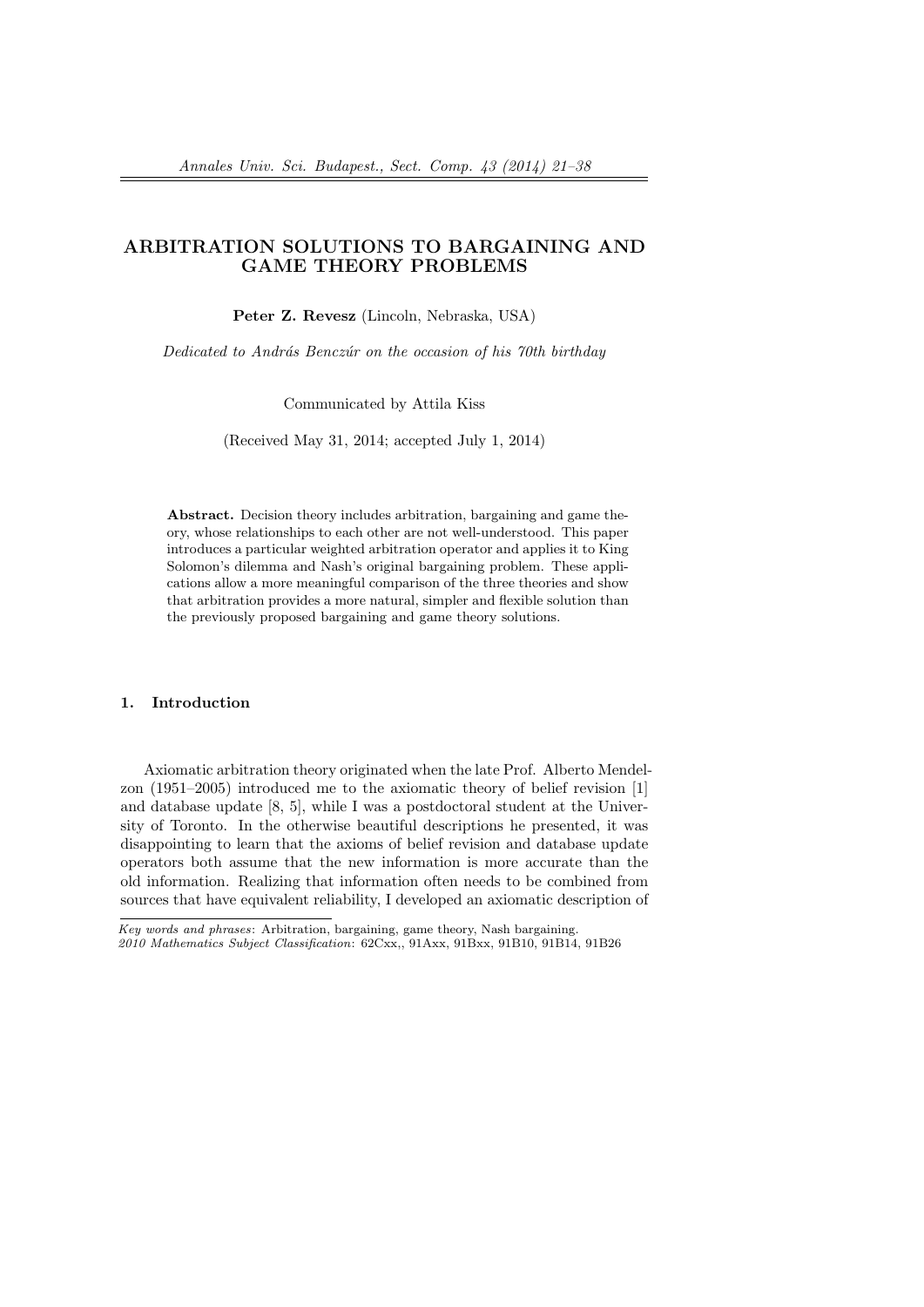# ARBITRATION SOLUTIONS TO BARGAINING AND GAME THEORY PROBLEMS

Peter Z. Revesz (Lincoln, Nebraska, USA)

Dedicated to András Benczúr on the occasion of his 70th birthday

Communicated by Attila Kiss

(Received May 31, 2014; accepted July 1, 2014)

Abstract. Decision theory includes arbitration, bargaining and game theory, whose relationships to each other are not well-understood. This paper introduces a particular weighted arbitration operator and applies it to King Solomon's dilemma and Nash's original bargaining problem. These applications allow a more meaningful comparison of the three theories and show that arbitration provides a more natural, simpler and flexible solution than the previously proposed bargaining and game theory solutions.

# 1. Introduction

Axiomatic arbitration theory originated when the late Prof. Alberto Mendelzon (1951–2005) introduced me to the axiomatic theory of belief revision [1] and database update [8, 5], while I was a postdoctoral student at the University of Toronto. In the otherwise beautiful descriptions he presented, it was disappointing to learn that the axioms of belief revision and database update operators both assume that the new information is more accurate than the old information. Realizing that information often needs to be combined from sources that have equivalent reliability, I developed an axiomatic description of

Key words and phrases: Arbitration, bargaining, game theory, Nash bargaining.

<sup>2010</sup> Mathematics Subject Classification: 62Cxx,, 91Axx, 91Bxx, 91B10, 91B14, 91B26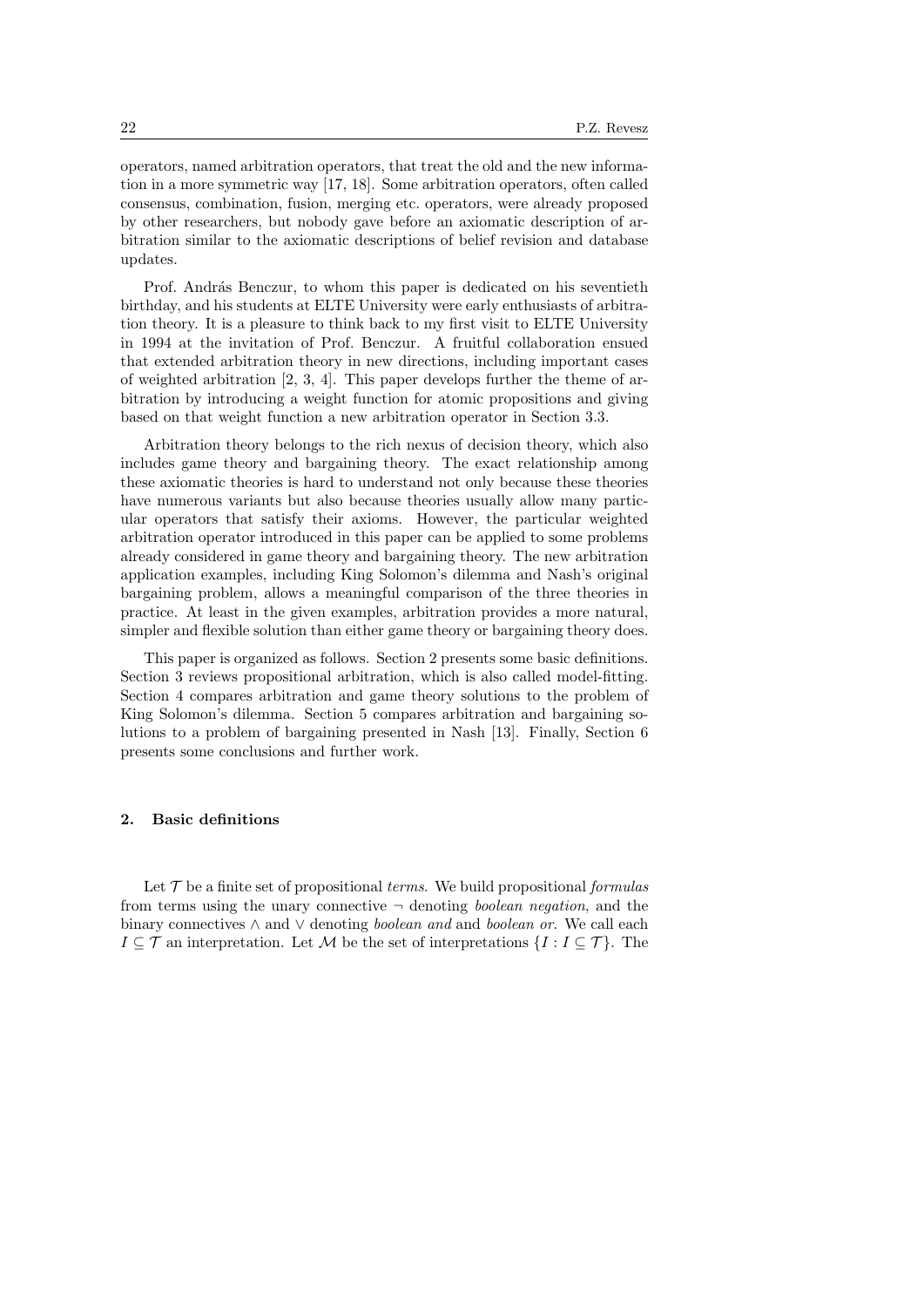operators, named arbitration operators, that treat the old and the new information in a more symmetric way [17, 18]. Some arbitration operators, often called consensus, combination, fusion, merging etc. operators, were already proposed by other researchers, but nobody gave before an axiomatic description of arbitration similar to the axiomatic descriptions of belief revision and database updates.

Prof. András Benczur, to whom this paper is dedicated on his seventieth birthday, and his students at ELTE University were early enthusiasts of arbitration theory. It is a pleasure to think back to my first visit to ELTE University in 1994 at the invitation of Prof. Benczur. A fruitful collaboration ensued that extended arbitration theory in new directions, including important cases of weighted arbitration [2, 3, 4]. This paper develops further the theme of arbitration by introducing a weight function for atomic propositions and giving based on that weight function a new arbitration operator in Section 3.3.

Arbitration theory belongs to the rich nexus of decision theory, which also includes game theory and bargaining theory. The exact relationship among these axiomatic theories is hard to understand not only because these theories have numerous variants but also because theories usually allow many particular operators that satisfy their axioms. However, the particular weighted arbitration operator introduced in this paper can be applied to some problems already considered in game theory and bargaining theory. The new arbitration application examples, including King Solomon's dilemma and Nash's original bargaining problem, allows a meaningful comparison of the three theories in practice. At least in the given examples, arbitration provides a more natural, simpler and flexible solution than either game theory or bargaining theory does.

This paper is organized as follows. Section 2 presents some basic definitions. Section 3 reviews propositional arbitration, which is also called model-fitting. Section 4 compares arbitration and game theory solutions to the problem of King Solomon's dilemma. Section 5 compares arbitration and bargaining solutions to a problem of bargaining presented in Nash [13]. Finally, Section 6 presents some conclusions and further work.

### 2. Basic definitions

Let  $\mathcal T$  be a finite set of propositional *terms*. We build propositional *formulas* from terms using the unary connective  $\neg$  denoting *boolean negation*, and the binary connectives ∧ and ∨ denoting boolean and and boolean or. We call each  $I \subseteq \mathcal{T}$  an interpretation. Let M be the set of interpretations  $\{I : I \subseteq \mathcal{T}\}\$ . The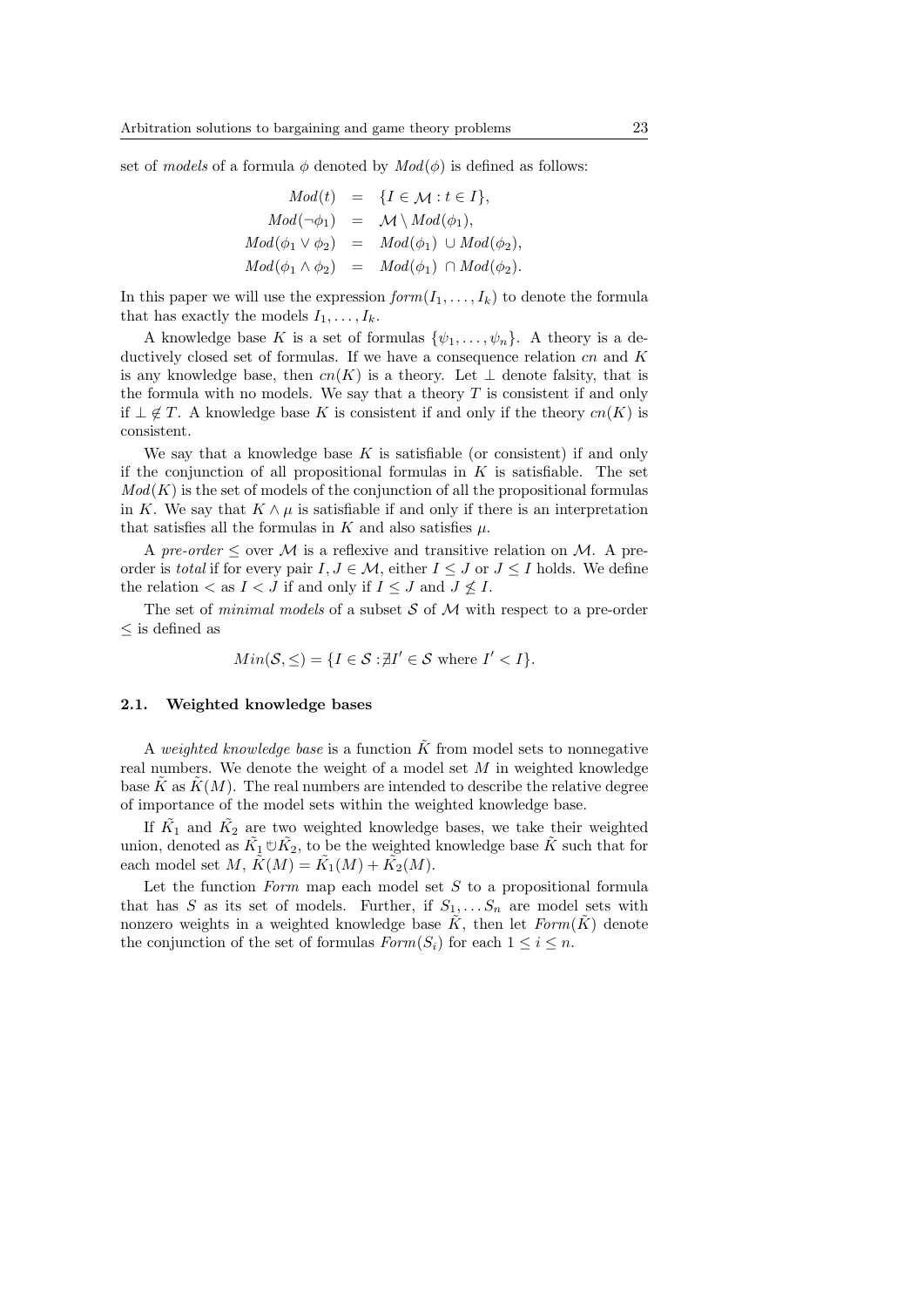set of models of a formula  $\phi$  denoted by  $Mod(\phi)$  is defined as follows:

$$
Mod(t) = \{I \in \mathcal{M} : t \in I\},
$$
  
\n
$$
Mod(\neg \phi_1) = \mathcal{M} \setminus Mod(\phi_1),
$$
  
\n
$$
Mod(\phi_1 \vee \phi_2) = Mod(\phi_1) \cup Mod(\phi_2),
$$
  
\n
$$
Mod(\phi_1 \wedge \phi_2) = Mod(\phi_1) \cap Mod(\phi_2).
$$

In this paper we will use the expression  $form(I_1, \ldots, I_k)$  to denote the formula that has exactly the models  $I_1, \ldots, I_k$ .

A knowledge base K is a set of formulas  $\{\psi_1, \ldots, \psi_n\}$ . A theory is a deductively closed set of formulas. If we have a consequence relation  $cn$  and  $K$ is any knowledge base, then  $cn(K)$  is a theory. Let  $\perp$  denote falsity, that is the formula with no models. We say that a theory  $T$  is consistent if and only if  $\bot \notin T$ . A knowledge base K is consistent if and only if the theory  $cn(K)$  is consistent.

We say that a knowledge base  $K$  is satisfiable (or consistent) if and only if the conjunction of all propositional formulas in  $K$  is satisfiable. The set  $Mod(K)$  is the set of models of the conjunction of all the propositional formulas in K. We say that  $K \wedge \mu$  is satisfiable if and only if there is an interpretation that satisfies all the formulas in K and also satisfies  $\mu$ .

A pre-order  $\leq$  over M is a reflexive and transitive relation on M. A preorder is total if for every pair  $I, J \in \mathcal{M}$ , either  $I \leq J$  or  $J \leq I$  holds. We define the relation  $\lt$  as  $I \lt J$  if and only if  $I \lt J$  and  $J \not\le I$ .

The set of *minimal models* of a subset  $S$  of  $M$  with respect to a pre-order  $<$ is defined as

$$
Min(S, \leq) = \{I \in S : \nexists I' \in S \text{ where } I' < I\}.
$$

### 2.1. Weighted knowledge bases

A weighted knowledge base is a function  $\tilde{K}$  from model sets to nonnegative real numbers. We denote the weight of a model set  $M$  in weighted knowledge base  $\tilde{K}$  as  $\tilde{K}(M)$ . The real numbers are intended to describe the relative degree of importance of the model sets within the weighted knowledge base.

If  $\tilde{K_1}$  and  $\tilde{K_2}$  are two weighted knowledge bases, we take their weighted union, denoted as  $\tilde{K}_1 \cup \tilde{K}_2$ , to be the weighted knowledge base  $\tilde{K}$  such that for each model set  $M, \,\tilde{K}(M) = \tilde{K_1}(M) + \tilde{K_2}(M)$ .

Let the function  $Form$  map each model set  $S$  to a propositional formula that has S as its set of models. Further, if  $S_1, \ldots S_n$  are model sets with nonzero weights in a weighted knowledge base  $\tilde{K}$ , then let  $Form(\tilde{K})$  denote the conjunction of the set of formulas  $Form(S_i)$  for each  $1 \leq i \leq n$ .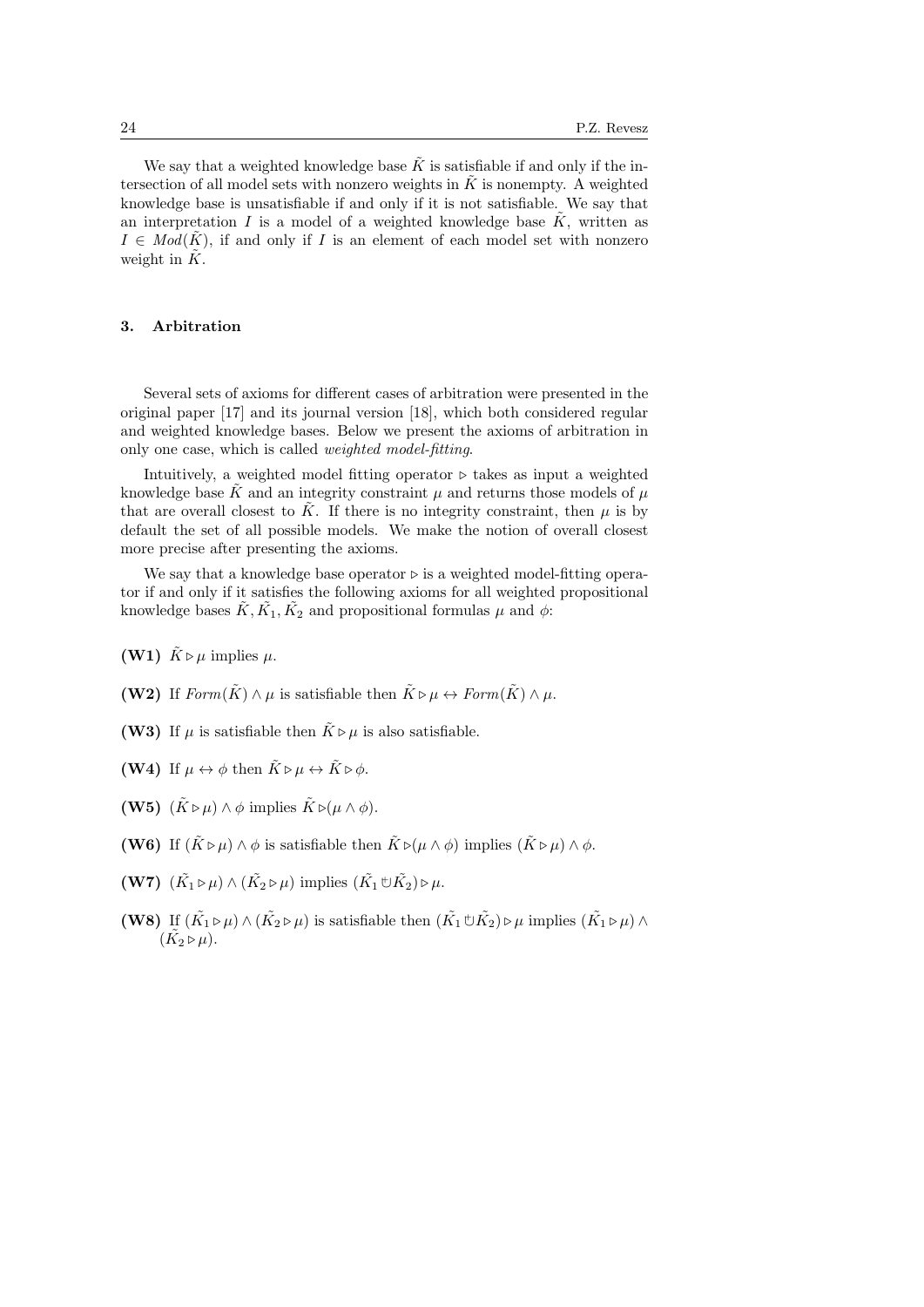We say that a weighted knowledge base  $\tilde{K}$  is satisfiable if and only if the intersection of all model sets with nonzero weights in  $\tilde{K}$  is nonempty. A weighted knowledge base is unsatisfiable if and only if it is not satisfiable. We say that an interpretation I is a model of a weighted knowledge base  $\tilde{K}$ , written as  $I \in Mod(K)$ , if and only if I is an element of each model set with nonzero weight in  $K$ .

# 3. Arbitration

Several sets of axioms for different cases of arbitration were presented in the original paper [17] and its journal version [18], which both considered regular and weighted knowledge bases. Below we present the axioms of arbitration in only one case, which is called weighted model-fitting.

Intuitively, a weighted model fitting operator  $\triangleright$  takes as input a weighted knowledge base  $\tilde{K}$  and an integrity constraint  $\mu$  and returns those models of  $\mu$ that are overall closest to  $\tilde{K}$ . If there is no integrity constraint, then  $\mu$  is by default the set of all possible models. We make the notion of overall closest more precise after presenting the axioms.

We say that a knowledge base operator  $\triangleright$  is a weighted model-fitting operator if and only if it satisfies the following axioms for all weighted propositional knowledge bases  $\tilde{K}, \tilde{K_1}, \tilde{K_2}$  and propositional formulas  $\mu$  and  $\phi$ :

- (W1)  $\tilde{K} \triangleright \mu$  implies  $\mu$ .
- (W2) If  $Form(\tilde{K}) \wedge \mu$  is satisfiable then  $\tilde{K} \triangleright \mu \leftrightarrow Form(\tilde{K}) \wedge \mu$ .
- (W3) If  $\mu$  is satisfiable then  $\tilde{K} \triangleright \mu$  is also satisfiable.
- (W4) If  $\mu \leftrightarrow \phi$  then  $\tilde{K} \triangleright \mu \leftrightarrow \tilde{K} \triangleright \phi$ .
- (W5)  $(\tilde{K} \triangleright \mu) \wedge \phi$  implies  $\tilde{K} \triangleright (\mu \wedge \phi)$ .
- (W6) If  $(K \triangleright \mu) \wedge \phi$  is satisfiable then  $\tilde{K} \triangleright (\mu \wedge \phi)$  implies  $(\tilde{K} \triangleright \mu) \wedge \phi$ .
- (W7)  $(\tilde{K_1} \triangleright \mu) \wedge (\tilde{K_2} \triangleright \mu)$  implies  $(\tilde{K_1} \cup \tilde{K_2}) \triangleright \mu$ .
- (W8) If  $(\tilde{K_1} \triangleright \mu) \wedge (\tilde{K_2} \triangleright \mu)$  is satisfiable then  $(\tilde{K_1} \cup \tilde{K_2}) \triangleright \mu$  implies  $(\tilde{K_1} \triangleright \mu) \wedge$  $(\tilde{K_2} \triangleright \mu).$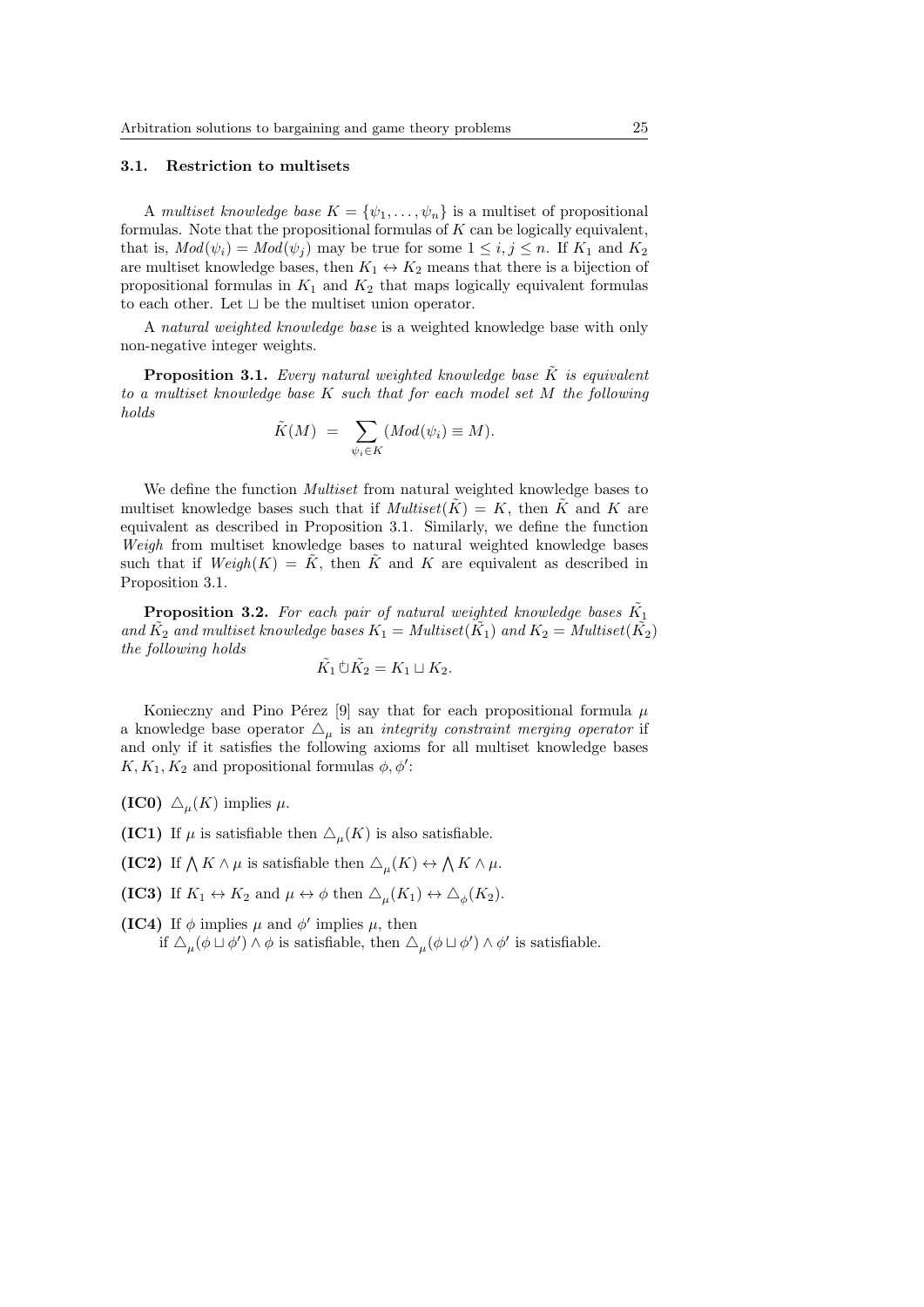# 3.1. Restriction to multisets

A multiset knowledge base  $K = {\psi_1, \ldots, \psi_n}$  is a multiset of propositional formulas. Note that the propositional formulas of  $K$  can be logically equivalent, that is,  $Mod(\psi_i) = Mod(\psi_j)$  may be true for some  $1 \leq i, j \leq n$ . If  $K_1$  and  $K_2$ are multiset knowledge bases, then  $K_1 \leftrightarrow K_2$  means that there is a bijection of propositional formulas in  $K_1$  and  $K_2$  that maps logically equivalent formulas to each other. Let  $\sqcup$  be the multiset union operator.

A natural weighted knowledge base is a weighted knowledge base with only non-negative integer weights.

**Proposition 3.1.** Every natural weighted knowledge base  $\tilde{K}$  is equivalent to a multiset knowledge base K such that for each model set M the following holds

$$
\tilde{K}(M) = \sum_{\psi_i \in K} (Mod(\psi_i) \equiv M).
$$

We define the function *Multiset* from natural weighted knowledge bases to multiset knowledge bases such that if  $Multiset(K) = K$ , then K and K are equivalent as described in Proposition 3.1. Similarly, we define the function Weigh from multiset knowledge bases to natural weighted knowledge bases such that if  $Weight(K) = \tilde{K}$ , then  $\tilde{K}$  and K are equivalent as described in Proposition 3.1.

**Proposition 3.2.** For each pair of natural weighted knowledge bases  $\tilde{K_1}$ and  $\tilde{K_2}$  and multiset knowledge bases  $K_1 = Multiset(\tilde{K_1})$  and  $K_2 = Multiset(\tilde{K_2})$ the following holds

$$
\tilde{K_1} \cup \tilde{K_2} = K_1 \sqcup K_2.
$$

Konieczny and Pino Pérez [9] say that for each propositional formula  $\mu$ a knowledge base operator  $\Delta_{\mu}$  is an *integrity constraint merging operator* if and only if it satisfies the following axioms for all multiset knowledge bases  $K, K_1, K_2$  and propositional formulas  $\phi, \phi'$ :

(IC0)  $\Delta_{\mu}(K)$  implies  $\mu$ .

- (IC1) If  $\mu$  is satisfiable then  $\Delta_{\mu}(K)$  is also satisfiable.
- (IC2) If  $\bigwedge K \wedge \mu$  is satisfiable then  $\bigtriangleup_{\mu}(K) \leftrightarrow \bigwedge K \wedge \mu$ .
- (IC3) If  $K_1 \leftrightarrow K_2$  and  $\mu \leftrightarrow \phi$  then  $\Delta_{\mu}(K_1) \leftrightarrow \Delta_{\phi}(K_2)$ .

(IC4) If  $\phi$  implies  $\mu$  and  $\phi'$  implies  $\mu$ , then

if  $\Delta_{\mu}(\phi \sqcup \phi') \wedge \phi$  is satisfiable, then  $\Delta_{\mu}(\phi \sqcup \phi') \wedge \phi'$  is satisfiable.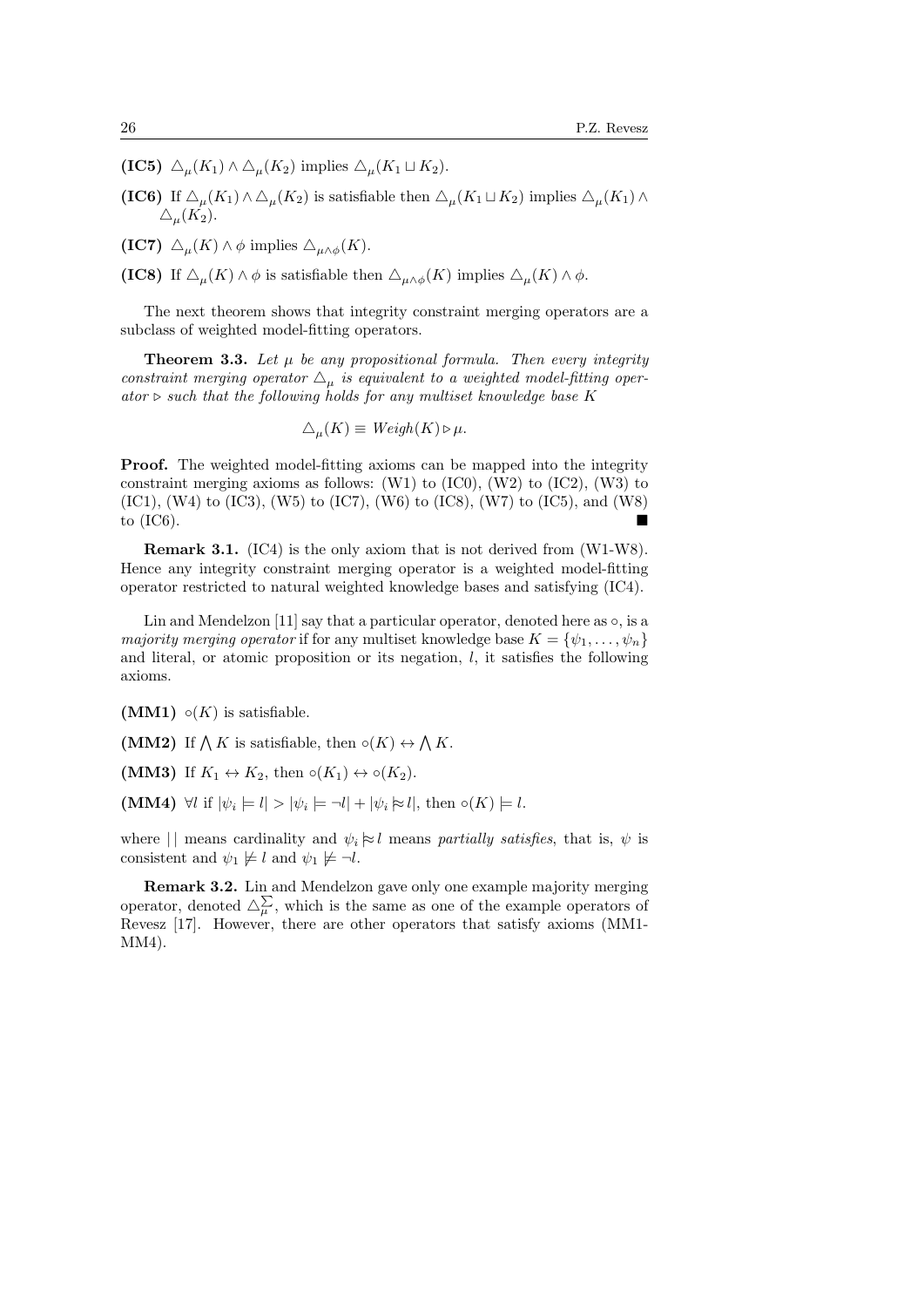(IC5)  $\Delta_{\mu}(K_1) \wedge \Delta_{\mu}(K_2)$  implies  $\Delta_{\mu}(K_1 \sqcup K_2)$ .

(IC6) If  $\Delta_{\mu}(K_1) \wedge \Delta_{\mu}(K_2)$  is satisfiable then  $\Delta_{\mu}(K_1 \sqcup K_2)$  implies  $\Delta_{\mu}(K_1) \wedge$  $\triangle_{\mu}(K_2).$ 

(IC7)  $\Delta_{\mu}(K) \wedge \phi$  implies  $\Delta_{\mu \wedge \phi}(K)$ .

(IC8) If  $\Delta_{\mu}(K) \wedge \phi$  is satisfiable then  $\Delta_{\mu \wedge \phi}(K)$  implies  $\Delta_{\mu}(K) \wedge \phi$ .

The next theorem shows that integrity constraint merging operators are a subclass of weighted model-fitting operators.

**Theorem 3.3.** Let  $\mu$  be any propositional formula. Then every integrity constraint merging operator  $\Delta_{\mu}$  is equivalent to a weighted model-fitting operator  $\triangleright$  such that the following holds for any multiset knowledge base K

$$
\Delta_{\mu}(K) \equiv \text{Weight}(K) \triangleright \mu.
$$

Proof. The weighted model-fitting axioms can be mapped into the integrity constraint merging axioms as follows:  $(W1)$  to  $(IC0)$ ,  $(W2)$  to  $(IC2)$ ,  $(W3)$  to (IC1), (W4) to (IC3), (W5) to (IC7), (W6) to (IC8), (W7) to (IC5), and (W8) to  $(IC6)$ .

Remark 3.1. (IC4) is the only axiom that is not derived from (W1-W8). Hence any integrity constraint merging operator is a weighted model-fitting operator restricted to natural weighted knowledge bases and satisfying (IC4).

Lin and Mendelzon [11] say that a particular operator, denoted here as  $\circ$ , is a majority merging operator if for any multiset knowledge base  $K = \{\psi_1, \ldots, \psi_n\}$ and literal, or atomic proposition or its negation, l, it satisfies the following axioms.

(MM1)  $\circ$ (K) is satisfiable.

(MM2) If  $\bigwedge K$  is satisfiable, then  $\circ(K) \leftrightarrow \bigwedge K$ .

(MM3) If  $K_1 \leftrightarrow K_2$ , then  $\circ (K_1) \leftrightarrow \circ (K_2)$ .

(MM4)  $\forall l$  if  $|\psi_i| = l > |\psi_i| = -l + |\psi_i| \approx l$ , then  $\circ(K) \models l$ .

where || means cardinality and  $\psi_i \approx l$  means partially satisfies, that is,  $\psi$  is consistent and  $\psi_1 \not\models l$  and  $\psi_1 \not\models \neg l$ .

Remark 3.2. Lin and Mendelzon gave only one example majority merging operator, denoted  $\Delta_{\mu}^{\sum}$ , which is the same as one of the example operators of Revesz [17]. However, there are other operators that satisfy axioms (MM1- MM4).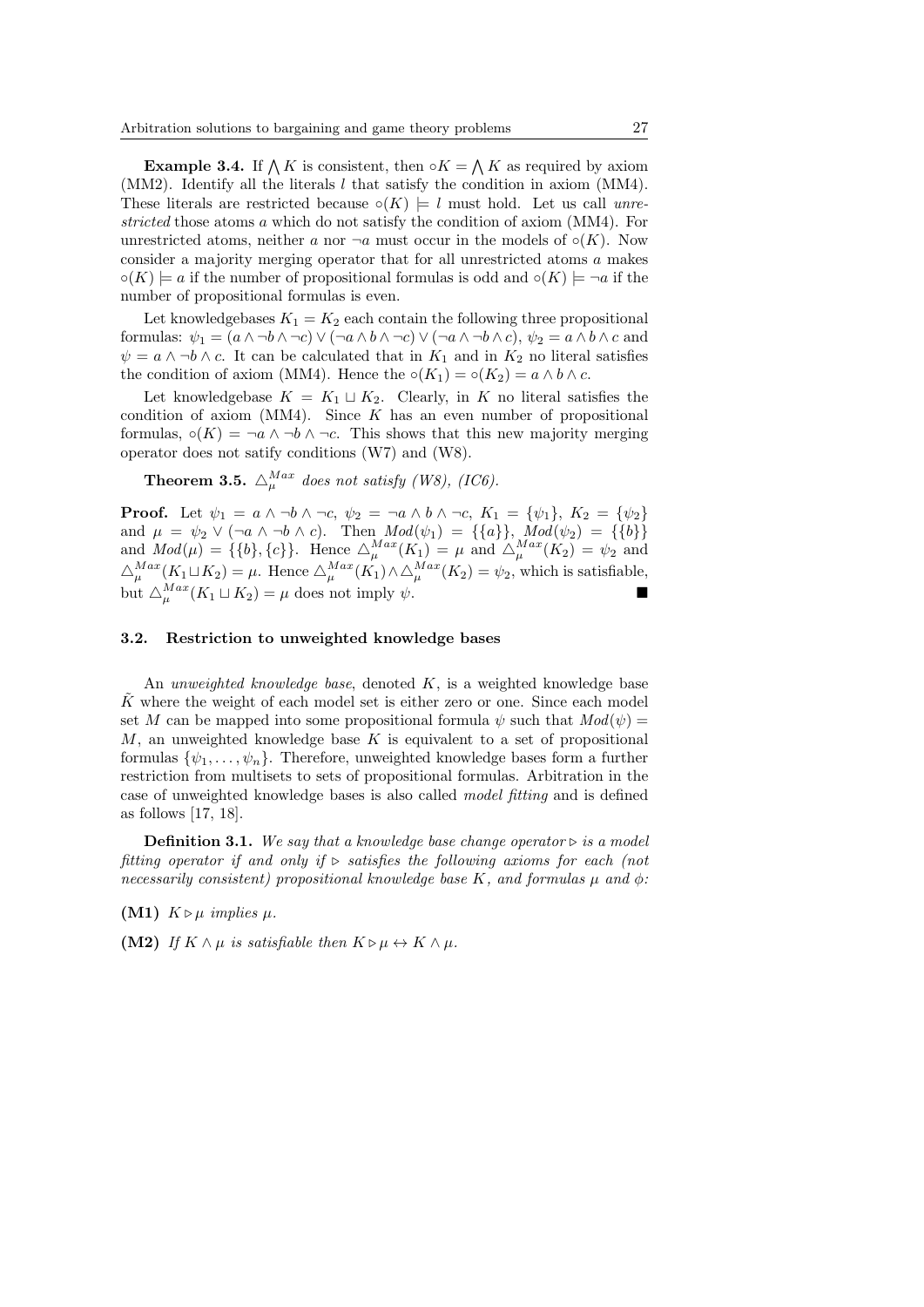**Example 3.4.** If  $\bigwedge K$  is consistent, then  $\circ K = \bigwedge K$  as required by axiom (MM2). Identify all the literals  $l$  that satisfy the condition in axiom (MM4). These literals are restricted because  $\circ(K) \models l$  must hold. Let us call unrestricted those atoms a which do not satisfy the condition of axiom (MM4). For unrestricted atoms, neither a nor  $\neg a$  must occur in the models of ∘(K). Now consider a majority merging operator that for all unrestricted atoms a makes  $\circ(K) \models a$  if the number of propositional formulas is odd and  $\circ(K) \models \neg a$  if the number of propositional formulas is even.

Let knowledgebases  $K_1 = K_2$  each contain the following three propositional formulas:  $\psi_1 = (a \wedge \neg b \wedge \neg c) \vee (\neg a \wedge b \wedge \neg c) \vee (\neg a \wedge \neg b \wedge c)$ ,  $\psi_2 = a \wedge b \wedge c$  and  $\psi = a \wedge \neg b \wedge c$ . It can be calculated that in  $K_1$  and in  $K_2$  no literal satisfies the condition of axiom (MM4). Hence the  $\circ (K_1) = \circ (K_2) = a \wedge b \wedge c$ .

Let knowledgebase  $K = K_1 \sqcup K_2$ . Clearly, in K no literal satisfies the condition of axiom (MM4). Since  $K$  has an even number of propositional formulas,  $\circ(K) = \neg a \land \neg b \land \neg c$ . This shows that this new majority merging operator does not satify conditions (W7) and (W8).

**Theorem 3.5.**  $\Delta_{\mu}^{Max}$  does not satisfy (W8), (IC6).

**Proof.** Let  $\psi_1 = a \land \neg b \land \neg c, \psi_2 = \neg a \land b \land \neg c, K_1 = \{\psi_1\}, K_2 = \{\psi_2\}$ and  $\mu = \psi_2 \vee (\neg a \wedge \neg b \wedge c)$ . Then  $Mod(\psi_1) = {\{a\}}, Mod(\psi_2) = {\{b\}}$ and  $Mod(\mu) = \{\{b\},\{c\}\}\$ . Hence  $\triangle^{Max}_{\mu}(K_1) = \mu$  and  $\triangle^{Max}_{\mu}(K_2) = \psi_2$  and  $\triangle_{\mu}^{Max}(K_1 \sqcup K_2) = \mu$ . Hence  $\triangle_{\mu}^{Max}(K_1) \wedge \triangle_{\mu}^{Max}(K_2) = \psi_2$ , which is satisfiable, but  $\triangle_{\mu}^{Max}(K_1 \sqcup K_2) = \mu$  does not imply  $\psi$ .

#### 3.2. Restriction to unweighted knowledge bases

An *unweighted knowledge base*, denoted  $K$ , is a weighted knowledge base  $\tilde{K}$  where the weight of each model set is either zero or one. Since each model set M can be mapped into some propositional formula  $\psi$  such that  $Mod(\psi) =$  $M$ , an unweighted knowledge base K is equivalent to a set of propositional formulas  $\{\psi_1, \ldots, \psi_n\}$ . Therefore, unweighted knowledge bases form a further restriction from multisets to sets of propositional formulas. Arbitration in the case of unweighted knowledge bases is also called model fitting and is defined as follows [17, 18].

**Definition 3.1.** We say that a knowledge base change operator  $\triangleright$  is a model fitting operator if and only if  $\triangleright$  satisfies the following axioms for each (not necessarily consistent) propositional knowledge base K, and formulas  $\mu$  and  $\phi$ :

(M1)  $K \triangleright \mu$  implies  $\mu$ .

(M2) If  $K \wedge \mu$  is satisfiable then  $K \triangleright \mu \leftrightarrow K \wedge \mu$ .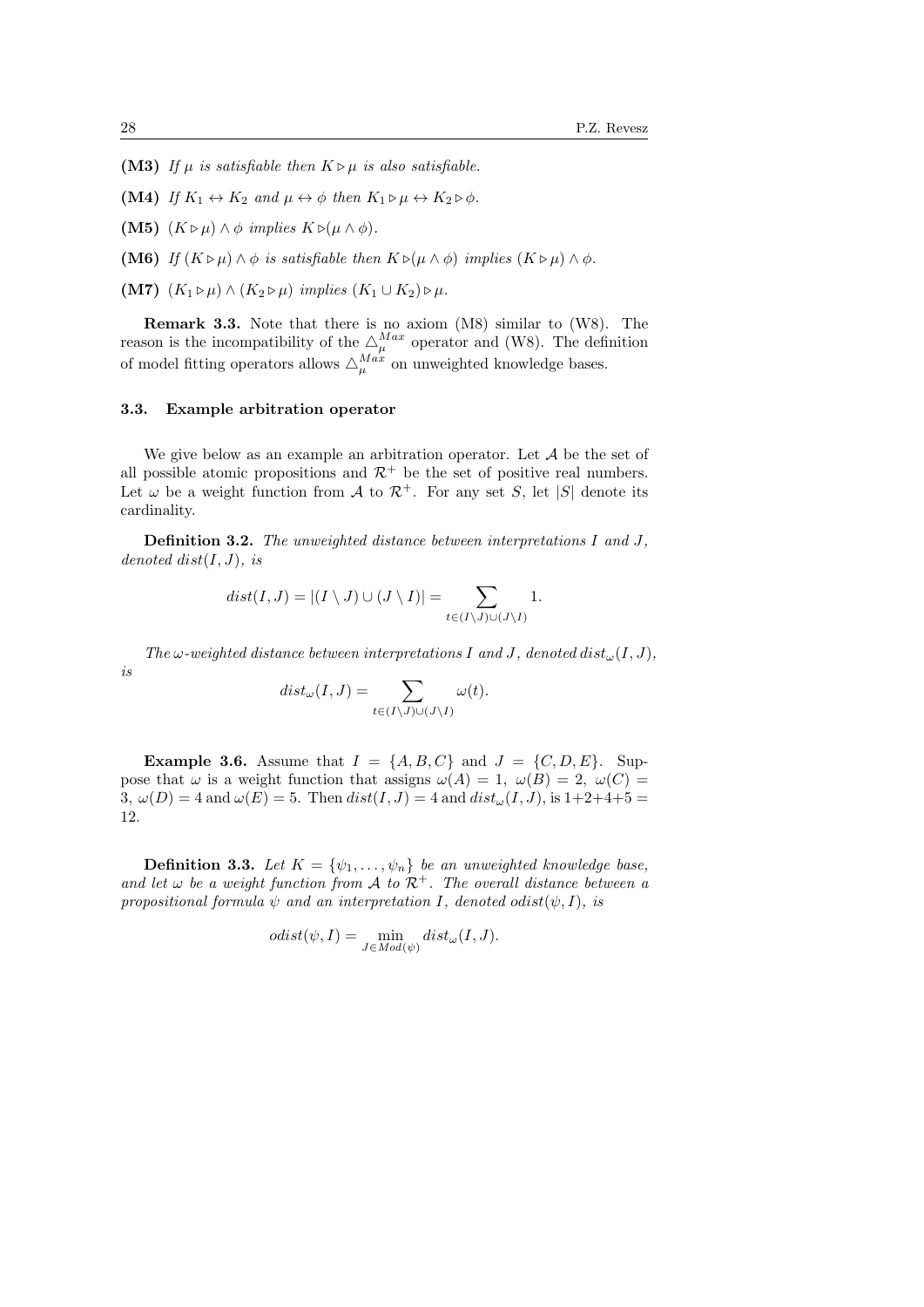- (M3) If  $\mu$  is satisfiable then  $K \triangleright \mu$  is also satisfiable.
- (M4) If  $K_1 \leftrightarrow K_2$  and  $\mu \leftrightarrow \phi$  then  $K_1 \triangleright \mu \leftrightarrow K_2 \triangleright \phi$ .
- (M5)  $(K \triangleright \mu) \land \phi$  implies  $K \triangleright (\mu \land \phi)$ .
- (M6) If  $(K \triangleright \mu) \wedge \phi$  is satisfiable then  $K \triangleright (\mu \wedge \phi)$  implies  $(K \triangleright \mu) \wedge \phi$ .
- (M7)  $(K_1 \triangleright \mu) \wedge (K_2 \triangleright \mu)$  implies  $(K_1 \cup K_2) \triangleright \mu$ .

Remark 3.3. Note that there is no axiom (M8) similar to (W8). The reason is the incompatibility of the  $\Delta_{\mu}^{Max}$  operator and (W8). The definition of model fitting operators allows  $\triangle_{\mu}^{Max}$  on unweighted knowledge bases.

#### 3.3. Example arbitration operator

We give below as an example an arbitration operator. Let  $A$  be the set of all possible atomic propositions and  $\mathcal{R}^+$  be the set of positive real numbers. Let  $\omega$  be a weight function from A to  $\mathcal{R}^+$ . For any set S, let |S| denote its cardinality.

Definition 3.2. The unweighted distance between interpretations I and J, denoted dist $(I, J)$ , is

$$
dist(I,J) = |(I \setminus J) \cup (J \setminus I)| = \sum_{t \in (I \setminus J) \cup (J \setminus I)} 1.
$$

The  $\omega$ -weighted distance between interpretations I and J, denoted dist<sub> $\omega$ </sub> $(I, J)$ , is

$$
dist_{\omega}(I,J) = \sum_{t \in (I \setminus J) \cup (J \setminus I)} \omega(t).
$$

**Example 3.6.** Assume that  $I = \{A, B, C\}$  and  $J = \{C, D, E\}$ . Suppose that  $\omega$  is a weight function that assigns  $\omega(A) = 1$ ,  $\omega(B) = 2$ ,  $\omega(C) =$ 3,  $\omega(D) = 4$  and  $\omega(E) = 5$ . Then  $dist(I, J) = 4$  and  $dist_{\omega}(I, J)$ , is  $1+2+4+5 = 1$ 12.

**Definition 3.3.** Let  $K = \{\psi_1, \ldots, \psi_n\}$  be an unweighted knowledge base, and let  $\omega$  be a weight function from A to  $\mathcal{R}^+$ . The overall distance between a propositional formula  $\psi$  and an interpretation I, denoted odist $(\psi, I)$ , is

$$
odist(\psi, I) = \min_{J \in Mod(\psi)} dist_{\omega}(I, J).
$$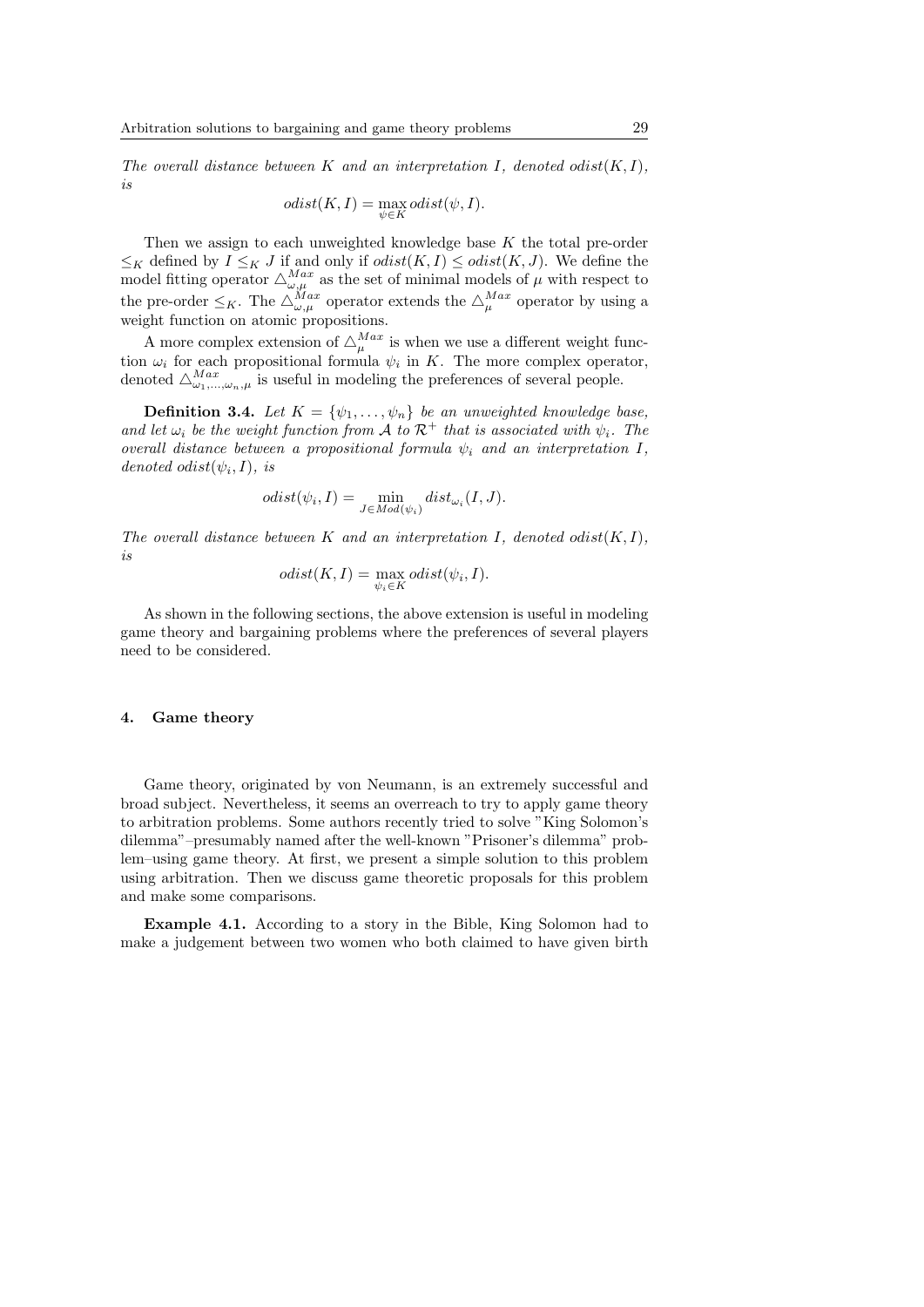The overall distance between K and an interpretation I, denoted odist $(K, I)$ , is

$$
odist(K, I) = \max_{\psi \in K} odist(\psi, I).
$$

Then we assign to each unweighted knowledge base  $K$  the total pre-order  $\leq_K$  defined by  $I \leq_K J$  if and only if  $odist(K, I) \leq odist(K, J)$ . We define the model fitting operator  $\triangle^{Max}_{\omega,\mu}$  as the set of minimal models of  $\mu$  with respect to the pre-order  $\leq_K$ . The  $\triangle^{Max}_{\omega,\mu}$  operator extends the  $\triangle^{Max}_{\mu}$  operator by using a weight function on atomic propositions.

A more complex extension of  $\Delta_{\mu}^{Max}$  is when we use a different weight function  $\omega_i$  for each propositional formula  $\psi_i$  in K. The more complex operator, denoted  $\triangle^{Max}_{\omega_1,\dots,\omega_n,\mu}$  is useful in modeling the preferences of several people.

**Definition 3.4.** Let  $K = {\psi_1, \ldots, \psi_n}$  be an unweighted knowledge base, and let  $\omega_i$  be the weight function from A to  $\mathcal{R}^+$  that is associated with  $\psi_i$ . The overall distance between a propositional formula  $\psi_i$  and an interpretation I, denoted odist $(\psi_i, I)$ , is

$$
odist(\psi_i, I) = \min_{J \in Mod(\psi_i)} dist_{\omega_i}(I, J).
$$

The overall distance between K and an interpretation I, denoted odist $(K, I)$ , is

$$
odist(K, I) = \max_{\psi_i \in K} odist(\psi_i, I).
$$

As shown in the following sections, the above extension is useful in modeling game theory and bargaining problems where the preferences of several players need to be considered.

#### 4. Game theory

Game theory, originated by von Neumann, is an extremely successful and broad subject. Nevertheless, it seems an overreach to try to apply game theory to arbitration problems. Some authors recently tried to solve "King Solomon's dilemma"–presumably named after the well-known "Prisoner's dilemma" problem–using game theory. At first, we present a simple solution to this problem using arbitration. Then we discuss game theoretic proposals for this problem and make some comparisons.

Example 4.1. According to a story in the Bible, King Solomon had to make a judgement between two women who both claimed to have given birth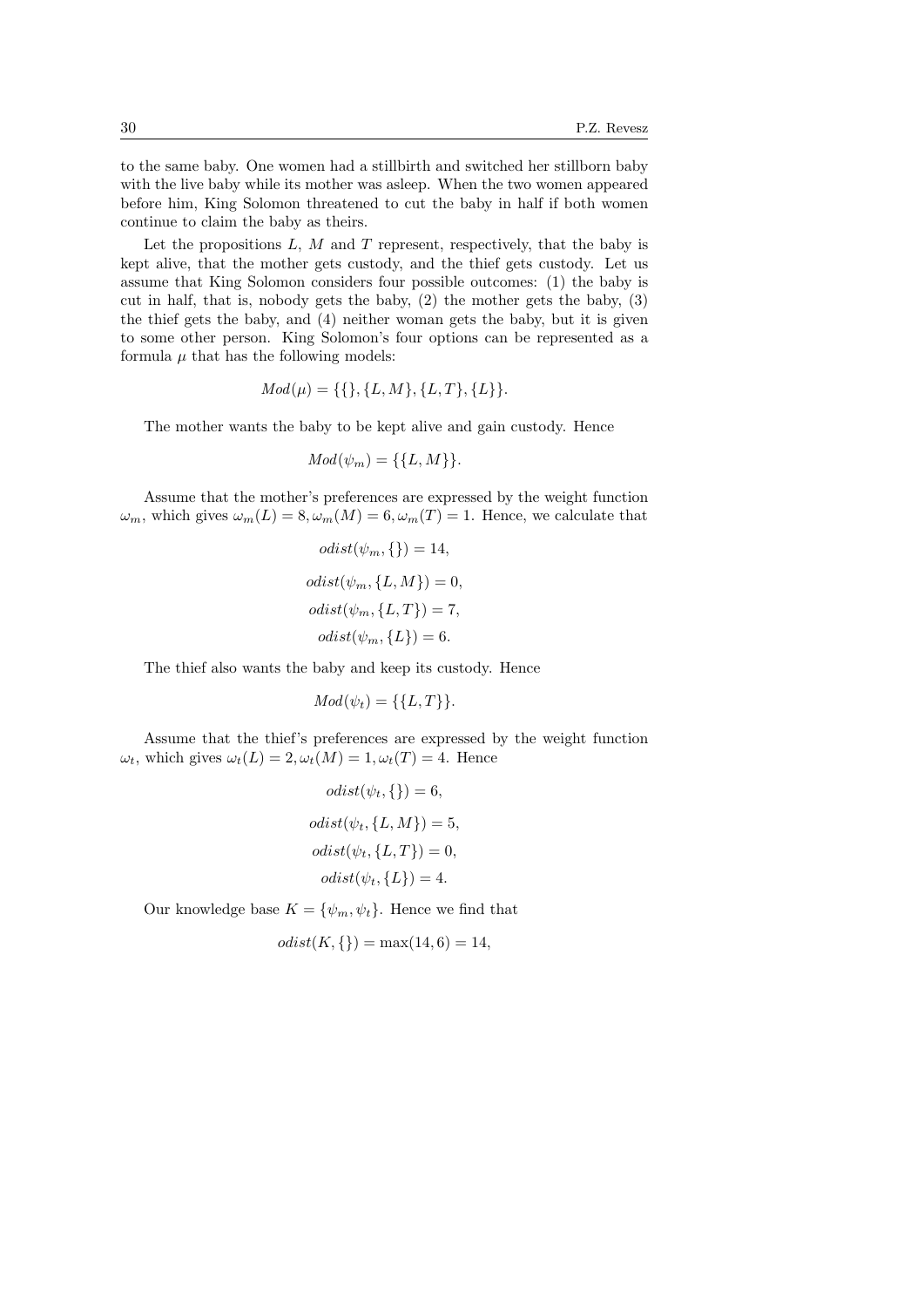to the same baby. One women had a stillbirth and switched her stillborn baby with the live baby while its mother was asleep. When the two women appeared before him, King Solomon threatened to cut the baby in half if both women continue to claim the baby as theirs.

Let the propositions  $L, M$  and  $T$  represent, respectively, that the baby is kept alive, that the mother gets custody, and the thief gets custody. Let us assume that King Solomon considers four possible outcomes: (1) the baby is cut in half, that is, nobody gets the baby, (2) the mother gets the baby, (3) the thief gets the baby, and (4) neither woman gets the baby, but it is given to some other person. King Solomon's four options can be represented as a formula  $\mu$  that has the following models:

$$
Mod(\mu) = \{\{\}, \{L, M\}, \{L, T\}, \{L\}\}.
$$

The mother wants the baby to be kept alive and gain custody. Hence

$$
Mod(\psi_m) = \{\{L, M\}\}.
$$

Assume that the mother's preferences are expressed by the weight function  $\omega_m$ , which gives  $\omega_m(L) = 8$ ,  $\omega_m(M) = 6$ ,  $\omega_m(T) = 1$ . Hence, we calculate that

$$
odist(\psi_m, \{\}) = 14,
$$
  
\n
$$
odist(\psi_m, \{L, M\}) = 0,
$$
  
\n
$$
odist(\psi_m, \{L, T\}) = 7,
$$
  
\n
$$
odist(\psi_m, \{L\}) = 6.
$$

The thief also wants the baby and keep its custody. Hence

$$
Mod(\psi_t) = \{\{L, T\}\}.
$$

Assume that the thief's preferences are expressed by the weight function  $\omega_t$ , which gives  $\omega_t(L) = 2, \omega_t(M) = 1, \omega_t(T) = 4$ . Hence

$$
odist(\psi_t, \{\}) = 6,
$$
  
\n
$$
odist(\psi_t, \{L, M\}) = 5,
$$
  
\n
$$
odist(\psi_t, \{L, T\}) = 0,
$$
  
\n
$$
odist(\psi_t, \{L\}) = 4.
$$

Our knowledge base  $K = {\psi_m, \psi_t}$ . Hence we find that

$$
odist(K, \{\}) = max(14, 6) = 14,
$$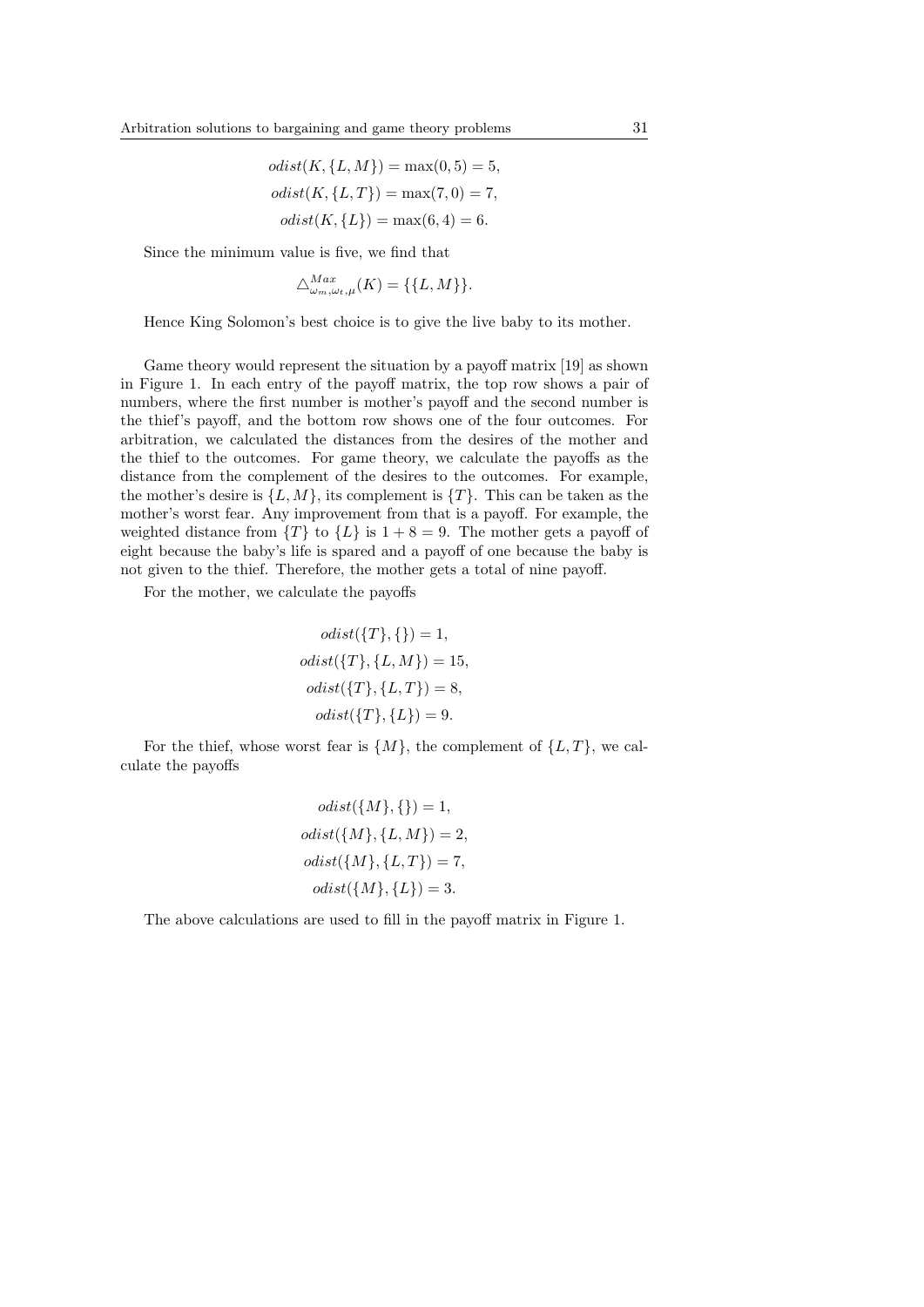$odist(K, \{L, M\}) = \max(0, 5) = 5,$  $odist(K, \{L, T\}) = \max(7, 0) = 7,$  $odist(K, {L}) = max(6, 4) = 6.$ 

Since the minimum value is five, we find that

$$
\triangle^{Max}_{\omega_m,\omega_t,\mu}(K) = \{\{L,M\}\}.
$$

Hence King Solomon's best choice is to give the live baby to its mother.

Game theory would represent the situation by a payoff matrix [19] as shown in Figure 1. In each entry of the payoff matrix, the top row shows a pair of numbers, where the first number is mother's payoff and the second number is the thief's payoff, and the bottom row shows one of the four outcomes. For arbitration, we calculated the distances from the desires of the mother and the thief to the outcomes. For game theory, we calculate the payoffs as the distance from the complement of the desires to the outcomes. For example, the mother's desire is  $\{L, M\}$ , its complement is  $\{T\}$ . This can be taken as the mother's worst fear. Any improvement from that is a payoff. For example, the weighted distance from  $\{T\}$  to  $\{L\}$  is  $1 + 8 = 9$ . The mother gets a payoff of eight because the baby's life is spared and a payoff of one because the baby is not given to the thief. Therefore, the mother gets a total of nine payoff.

For the mother, we calculate the payoffs

$$
odist({T}, \{\}) = 1,
$$
  
\n
$$
odist({T}, \{L, M\}) = 15,
$$
  
\n
$$
odist({T}, \{L, T\}) = 8,
$$
  
\n
$$
odist({T}, \{L\}) = 9.
$$

For the thief, whose worst fear is  $\{M\}$ , the complement of  $\{L, T\}$ , we calculate the payoffs

$$
odist(\{M\}, \{\}) = 1,
$$
  
\n
$$
odist(\{M\}, \{L, M\}) = 2,
$$
  
\n
$$
odist(\{M\}, \{L, T\}) = 7,
$$
  
\n
$$
odist(\{M\}, \{L\}) = 3.
$$

The above calculations are used to fill in the payoff matrix in Figure 1.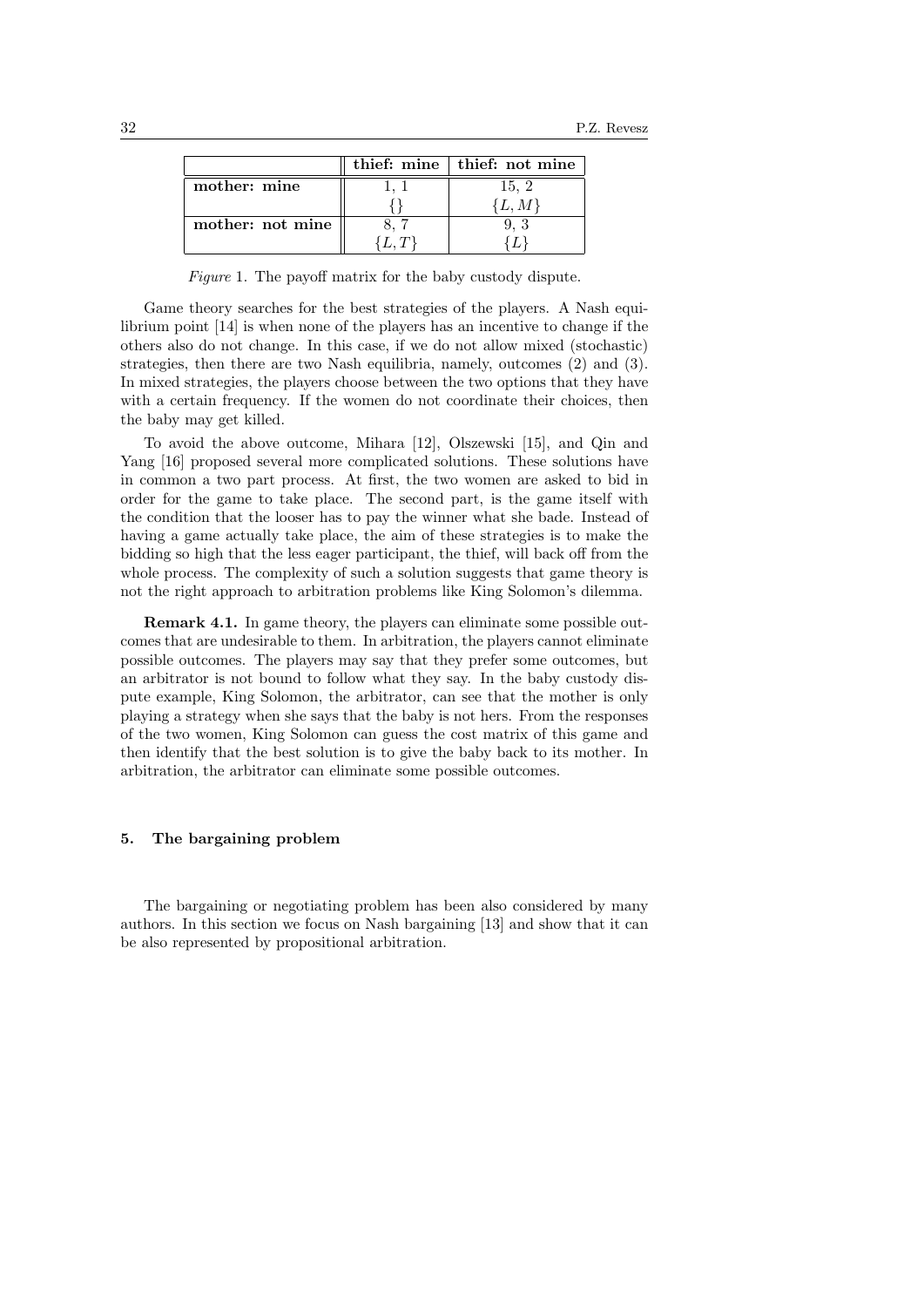|                  | thief: mine   thief: not mine |
|------------------|-------------------------------|
| mother: mine     | 15.2                          |
|                  |                               |
| mother: not mine |                               |
|                  |                               |

Figure 1. The payoff matrix for the baby custody dispute.

Game theory searches for the best strategies of the players. A Nash equilibrium point [14] is when none of the players has an incentive to change if the others also do not change. In this case, if we do not allow mixed (stochastic) strategies, then there are two Nash equilibria, namely, outcomes (2) and (3). In mixed strategies, the players choose between the two options that they have with a certain frequency. If the women do not coordinate their choices, then the baby may get killed.

To avoid the above outcome, Mihara [12], Olszewski [15], and Qin and Yang [16] proposed several more complicated solutions. These solutions have in common a two part process. At first, the two women are asked to bid in order for the game to take place. The second part, is the game itself with the condition that the looser has to pay the winner what she bade. Instead of having a game actually take place, the aim of these strategies is to make the bidding so high that the less eager participant, the thief, will back off from the whole process. The complexity of such a solution suggests that game theory is not the right approach to arbitration problems like King Solomon's dilemma.

Remark 4.1. In game theory, the players can eliminate some possible outcomes that are undesirable to them. In arbitration, the players cannot eliminate possible outcomes. The players may say that they prefer some outcomes, but an arbitrator is not bound to follow what they say. In the baby custody dispute example, King Solomon, the arbitrator, can see that the mother is only playing a strategy when she says that the baby is not hers. From the responses of the two women, King Solomon can guess the cost matrix of this game and then identify that the best solution is to give the baby back to its mother. In arbitration, the arbitrator can eliminate some possible outcomes.

#### 5. The bargaining problem

The bargaining or negotiating problem has been also considered by many authors. In this section we focus on Nash bargaining [13] and show that it can be also represented by propositional arbitration.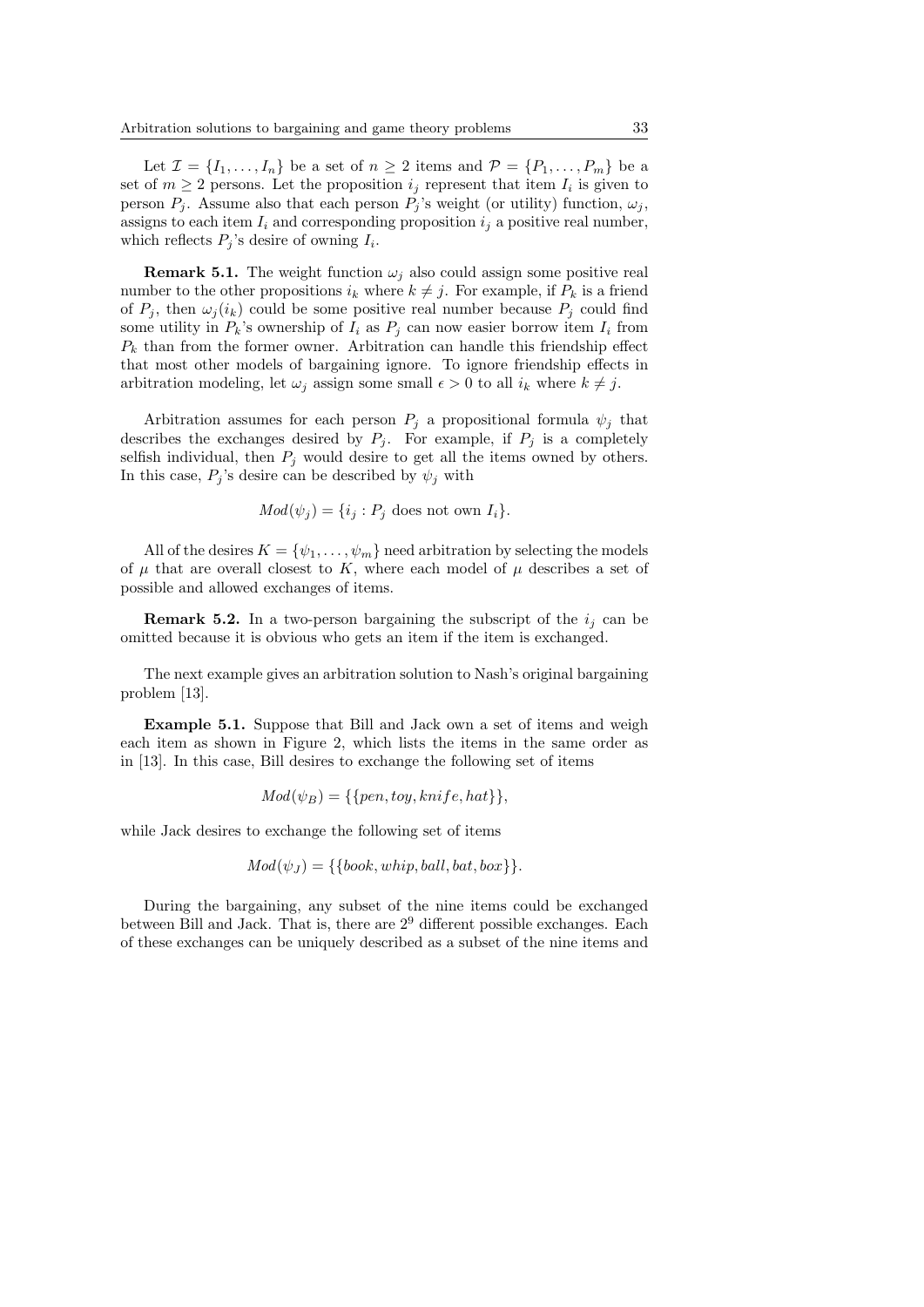Let  $\mathcal{I} = \{I_1, \ldots, I_n\}$  be a set of  $n \geq 2$  items and  $\mathcal{P} = \{P_1, \ldots, P_m\}$  be a set of  $m \geq 2$  persons. Let the proposition  $i_j$  represent that item  $I_i$  is given to person  $P_i$ . Assume also that each person  $P_i$ 's weight (or utility) function,  $\omega_i$ , assigns to each item  $I_i$  and corresponding proposition  $i_j$  a positive real number, which reflects  $P_j$ 's desire of owning  $I_i$ .

**Remark 5.1.** The weight function  $\omega_i$  also could assign some positive real number to the other propositions  $i_k$  where  $k \neq j$ . For example, if  $P_k$  is a friend of  $P_j$ , then  $\omega_j(i_k)$  could be some positive real number because  $P_j$  could find some utility in  $P_k$ 's ownership of  $I_i$  as  $P_j$  can now easier borrow item  $I_i$  from  $P_k$  than from the former owner. Arbitration can handle this friendship effect that most other models of bargaining ignore. To ignore friendship effects in arbitration modeling, let  $\omega_j$  assign some small  $\epsilon > 0$  to all  $i_k$  where  $k \neq j$ .

Arbitration assumes for each person  $P_i$  a propositional formula  $\psi_i$  that describes the exchanges desired by  $P_i$ . For example, if  $P_i$  is a completely selfish individual, then  $P_j$  would desire to get all the items owned by others. In this case,  $P_j$ 's desire can be described by  $\psi_j$  with

$$
Mod(\psi_j) = \{i_j : P_j \text{ does not own } I_i\}.
$$

All of the desires  $K = {\psi_1, \dots, \psi_m}$  need arbitration by selecting the models of  $\mu$  that are overall closest to K, where each model of  $\mu$  describes a set of possible and allowed exchanges of items.

**Remark 5.2.** In a two-person bargaining the subscript of the  $i_j$  can be omitted because it is obvious who gets an item if the item is exchanged.

The next example gives an arbitration solution to Nash's original bargaining problem [13].

Example 5.1. Suppose that Bill and Jack own a set of items and weigh each item as shown in Figure 2, which lists the items in the same order as in [13]. In this case, Bill desires to exchange the following set of items

$$
Mod(\psi_B) = \{\{pen, toy, knife, hat\}\},\
$$

while Jack desires to exchange the following set of items

$$
Mod(\psi_J) = \{\{book, whip, ball, bat, box\}\}.
$$

During the bargaining, any subset of the nine items could be exchanged between Bill and Jack. That is, there are  $2^9$  different possible exchanges. Each of these exchanges can be uniquely described as a subset of the nine items and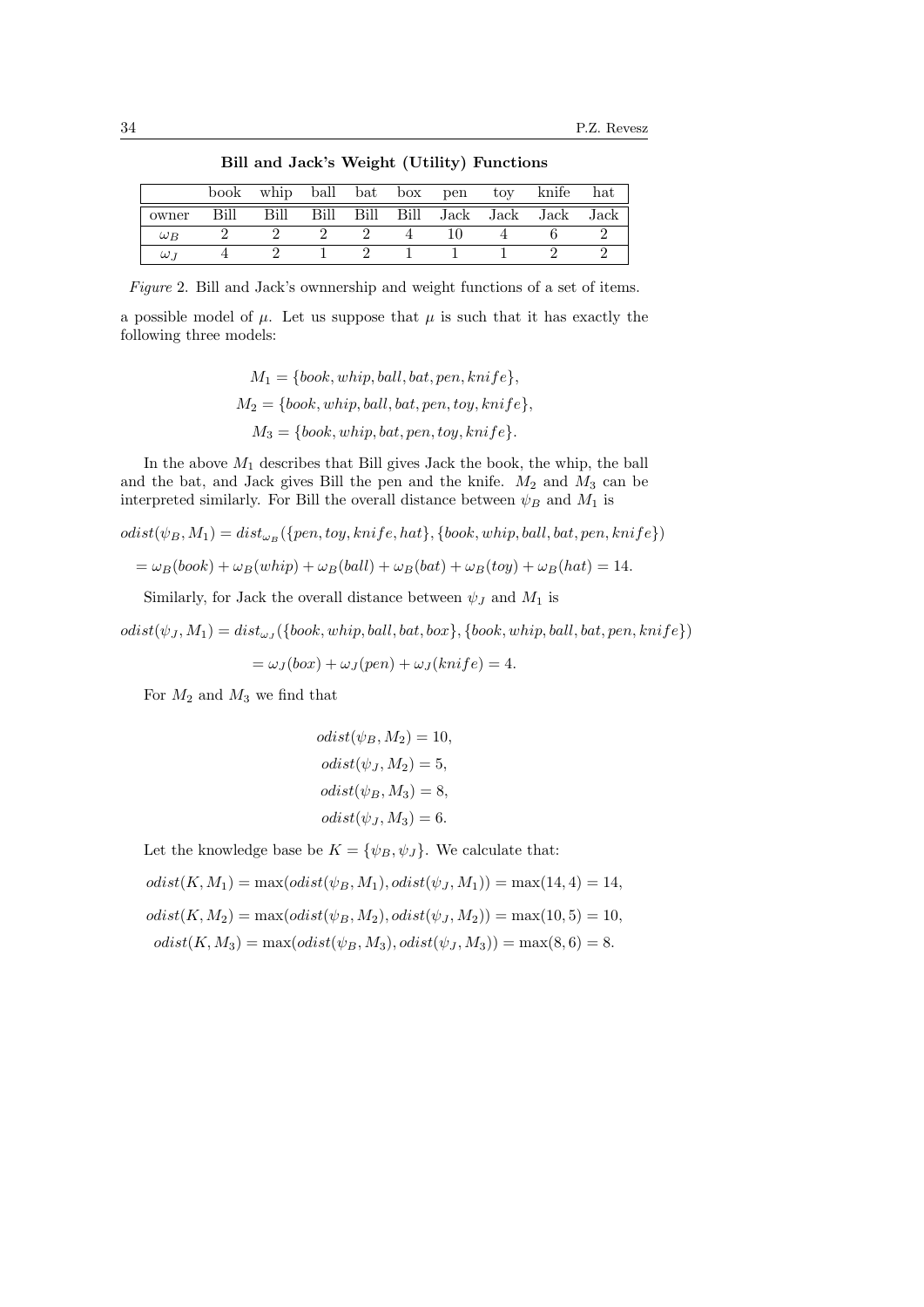|            |      |  |  |  | book whip ball bat box pen toy knife hat |  |
|------------|------|--|--|--|------------------------------------------|--|
| owner      | Bill |  |  |  | Bill Bill Bill Bill Jack Jack Jack Jack  |  |
| $\omega_B$ |      |  |  |  |                                          |  |
|            |      |  |  |  |                                          |  |

Bill and Jack's Weight (Utility) Functions

Figure 2. Bill and Jack's ownnership and weight functions of a set of items.

a possible model of  $\mu$ . Let us suppose that  $\mu$  is such that it has exactly the following three models:

> $M_1 = \{book, whip, ball, bat, pen, knife\},\$  $M_2 = \{book, whip, ball, bat, pen, toy, knife\}.$  $M_3 = \{book, whip, bat, pen, toy, knife\}.$

In the above  $M_1$  describes that Bill gives Jack the book, the whip, the ball and the bat, and Jack gives Bill the pen and the knife.  $M_2$  and  $M_3$  can be interpreted similarly. For Bill the overall distance between  $\psi_B$  and  $M_1$  is

 $odist(\psi_B, M_1) = dist_{\omega_B}({\{pen, toy, knife, hat\}, \{book, whip, ball, bat, pen, knife\}})$ 

$$
= \omega_B(book) + \omega_B(whip) + \omega_B(ball) + \omega_B(bat) + \omega_B(toy) + \omega_B(hat) = 14.
$$

Similarly, for Jack the overall distance between  $\psi_J$  and  $M_1$  is

 $odist(\psi_J, M_1) = dist_{\omega_J}(\{book, whip, ball, bat, box\}, \{book, whip, ball, bat, pen, knife\})$ 

$$
= \omega_J(box) + \omega_J(pen) + \omega_J(knife) = 4.
$$

For  $M_2$  and  $M_3$  we find that

$$
odist(\psi_B, M_2) = 10,
$$
  
\n
$$
odist(\psi_J, M_2) = 5,
$$
  
\n
$$
odist(\psi_B, M_3) = 8,
$$
  
\n
$$
odist(\psi_J, M_3) = 6.
$$

Let the knowledge base be  $K = {\psi_B, \psi_J}$ . We calculate that:

 $odist(K, M_1) = \max(odist(\psi_B, M_1), odist(\psi_J, M_1)) = \max(14, 4) = 14,$ 

 $odist(K, M_2) = \max(odist(\psi_B, M_2), odist(\psi_J, M_2)) = \max(10, 5) = 10,$ 

 $odist(K, M_3) = \max(odist(\psi_B, M_3), odist(\psi_J, M_3)) = \max(8, 6) = 8.$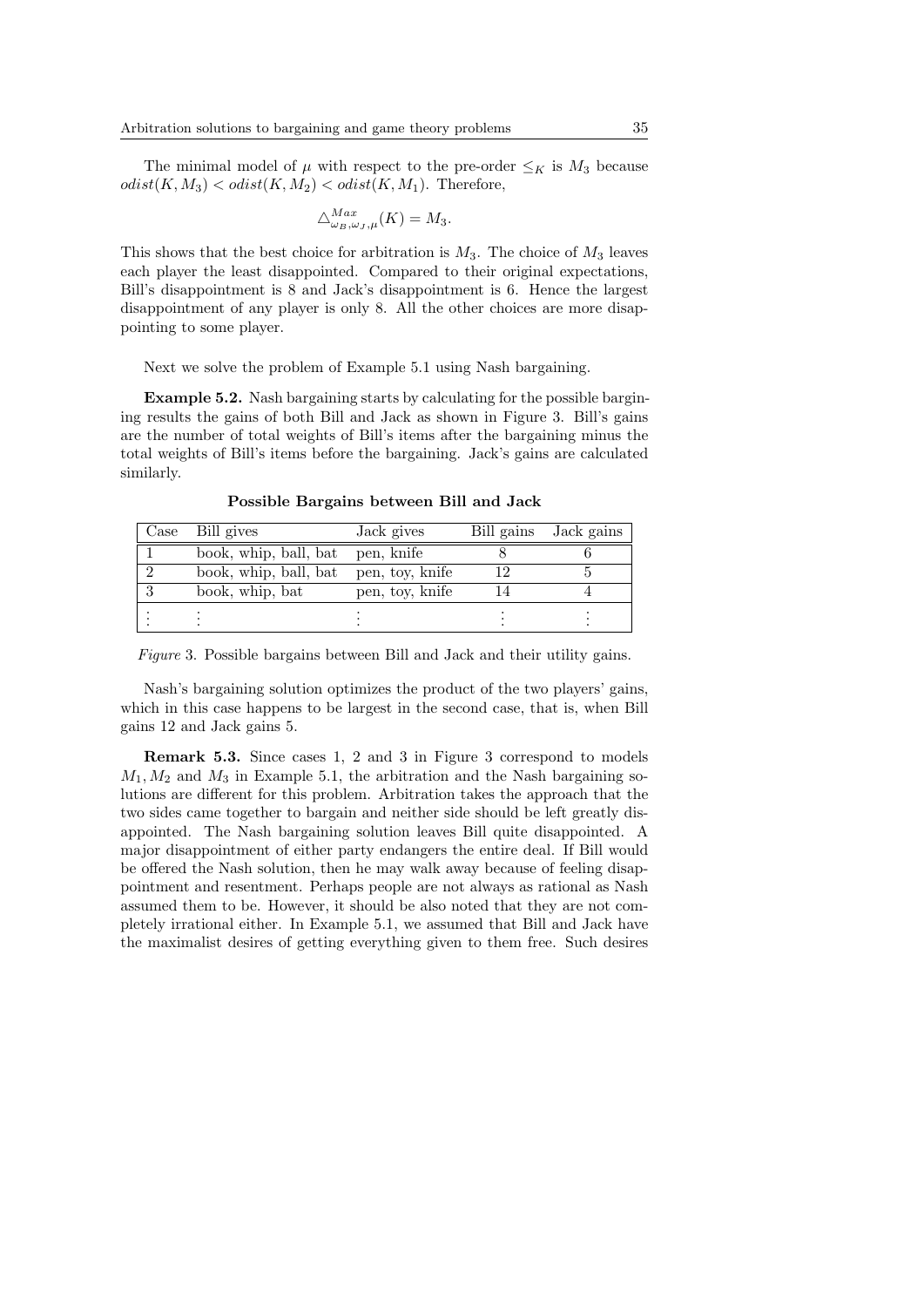The minimal model of  $\mu$  with respect to the pre-order  $\leq_K$  is  $M_3$  because  $odist(K, M_3) < odist(K, M_2) < odist(K, M_1)$ . Therefore,

$$
\triangle^{Max}_{\omega_B,\omega_J,\mu}(K) = M_3.
$$

This shows that the best choice for arbitration is  $M_3$ . The choice of  $M_3$  leaves each player the least disappointed. Compared to their original expectations, Bill's disappointment is 8 and Jack's disappointment is 6. Hence the largest disappointment of any player is only 8. All the other choices are more disappointing to some player.

Next we solve the problem of Example 5.1 using Nash bargaining.

Example 5.2. Nash bargaining starts by calculating for the possible bargining results the gains of both Bill and Jack as shown in Figure 3. Bill's gains are the number of total weights of Bill's items after the bargaining minus the total weights of Bill's items before the bargaining. Jack's gains are calculated similarly.

Possible Bargains between Bill and Jack

| Case Bill gives       | Jack gives      | Bill gains Jack gains |
|-----------------------|-----------------|-----------------------|
| book, whip, ball, bat | pen, knife      |                       |
| book, whip, ball, bat | pen, toy, knife |                       |
| book, whip, bat       | pen, toy, knife |                       |
|                       |                 |                       |
|                       |                 |                       |

Figure 3. Possible bargains between Bill and Jack and their utility gains.

Nash's bargaining solution optimizes the product of the two players' gains, which in this case happens to be largest in the second case, that is, when Bill gains 12 and Jack gains 5.

Remark 5.3. Since cases 1, 2 and 3 in Figure 3 correspond to models  $M_1, M_2$  and  $M_3$  in Example 5.1, the arbitration and the Nash bargaining solutions are different for this problem. Arbitration takes the approach that the two sides came together to bargain and neither side should be left greatly disappointed. The Nash bargaining solution leaves Bill quite disappointed. A major disappointment of either party endangers the entire deal. If Bill would be offered the Nash solution, then he may walk away because of feeling disappointment and resentment. Perhaps people are not always as rational as Nash assumed them to be. However, it should be also noted that they are not completely irrational either. In Example 5.1, we assumed that Bill and Jack have the maximalist desires of getting everything given to them free. Such desires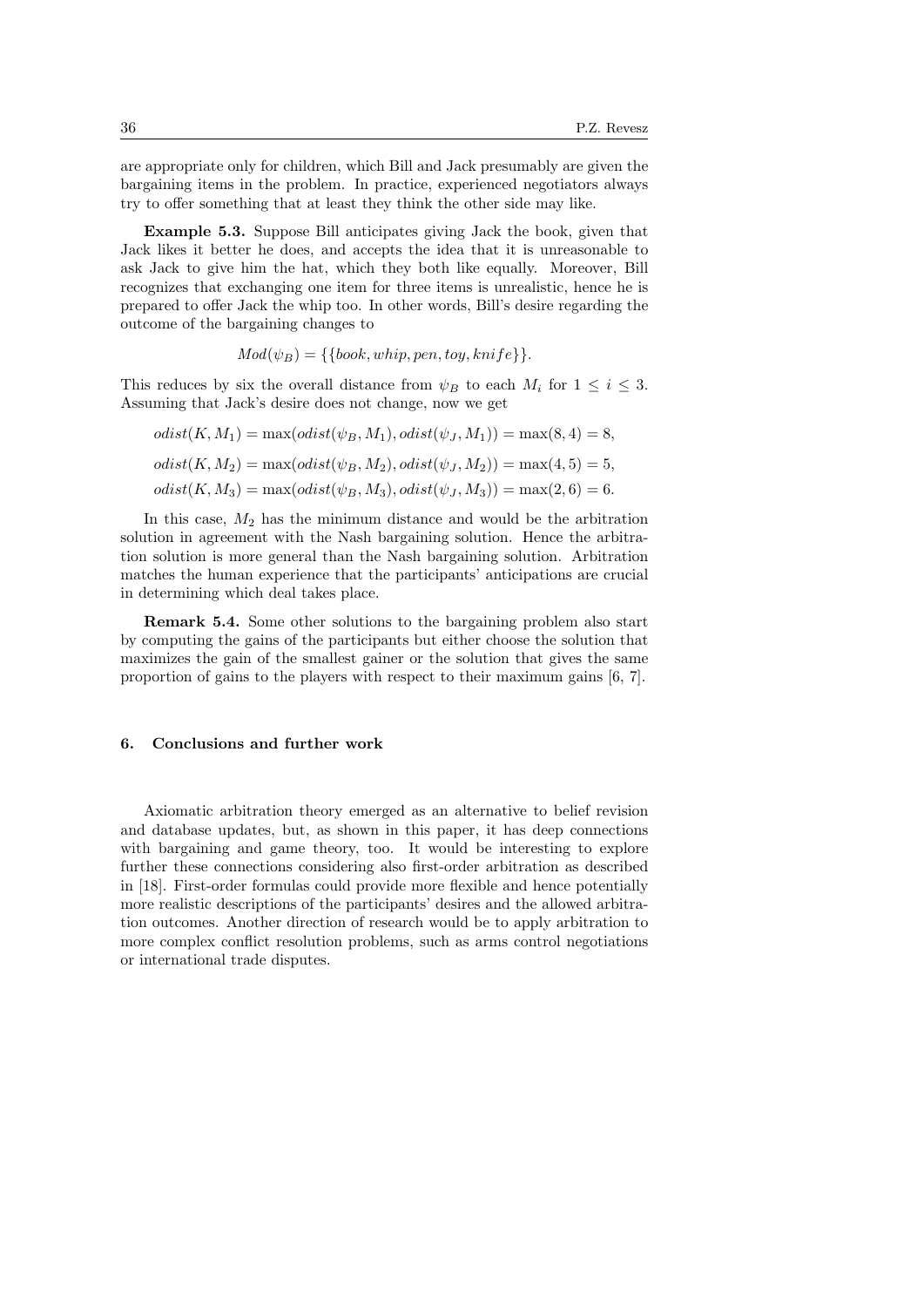are appropriate only for children, which Bill and Jack presumably are given the bargaining items in the problem. In practice, experienced negotiators always try to offer something that at least they think the other side may like.

Example 5.3. Suppose Bill anticipates giving Jack the book, given that Jack likes it better he does, and accepts the idea that it is unreasonable to ask Jack to give him the hat, which they both like equally. Moreover, Bill recognizes that exchanging one item for three items is unrealistic, hence he is prepared to offer Jack the whip too. In other words, Bill's desire regarding the outcome of the bargaining changes to

$$
Mod(\psi_B) = \{\{book, whip, pen, toy, knife\}\}.
$$

This reduces by six the overall distance from  $\psi_B$  to each  $M_i$  for  $1 \leq i \leq 3$ . Assuming that Jack's desire does not change, now we get

$$
odist(K, M_1) = \max(odist(\psi_B, M_1), odist(\psi_J, M_1)) = \max(8, 4) = 8,
$$
  

$$
odist(K, M_2) = \max(odist(\psi_B, M_2), odist(\psi_J, M_2)) = \max(4, 5) = 5,
$$
  

$$
odist(K, M_3) = \max(odist(\psi_B, M_3), odist(\psi_J, M_3)) = \max(2, 6) = 6.
$$

In this case,  $M_2$  has the minimum distance and would be the arbitration solution in agreement with the Nash bargaining solution. Hence the arbitration solution is more general than the Nash bargaining solution. Arbitration matches the human experience that the participants' anticipations are crucial in determining which deal takes place.

Remark 5.4. Some other solutions to the bargaining problem also start by computing the gains of the participants but either choose the solution that maximizes the gain of the smallest gainer or the solution that gives the same proportion of gains to the players with respect to their maximum gains [6, 7].

#### 6. Conclusions and further work

Axiomatic arbitration theory emerged as an alternative to belief revision and database updates, but, as shown in this paper, it has deep connections with bargaining and game theory, too. It would be interesting to explore further these connections considering also first-order arbitration as described in [18]. First-order formulas could provide more flexible and hence potentially more realistic descriptions of the participants' desires and the allowed arbitration outcomes. Another direction of research would be to apply arbitration to more complex conflict resolution problems, such as arms control negotiations or international trade disputes.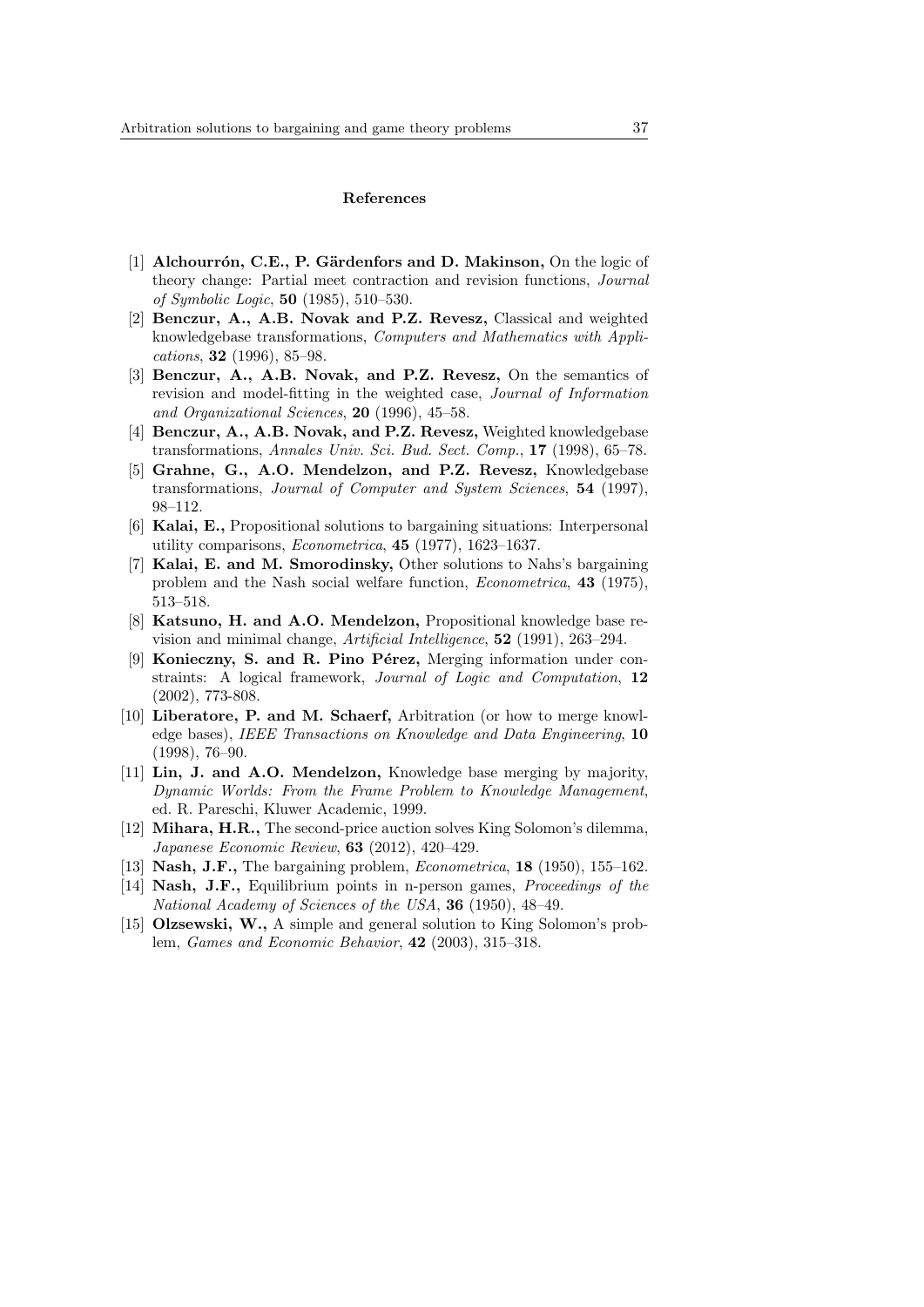#### References

- [1] Alchourrón, C.E., P. Gärdenfors and D. Makinson, On the logic of theory change: Partial meet contraction and revision functions, Journal of Symbolic Logic, 50 (1985), 510–530.
- [2] Benczur, A., A.B. Novak and P.Z. Revesz, Classical and weighted knowledgebase transformations, Computers and Mathematics with Applications, 32 (1996), 85–98.
- [3] Benczur, A., A.B. Novak, and P.Z. Revesz, On the semantics of revision and model-fitting in the weighted case, Journal of Information and Organizational Sciences, 20 (1996), 45–58.
- [4] Benczur, A., A.B. Novak, and P.Z. Revesz, Weighted knowledgebase transformations, Annales Univ. Sci. Bud. Sect. Comp., 17 (1998), 65–78.
- [5] Grahne, G., A.O. Mendelzon, and P.Z. Revesz, Knowledgebase transformations, Journal of Computer and System Sciences, 54 (1997), 98–112.
- [6] Kalai, E., Propositional solutions to bargaining situations: Interpersonal utility comparisons, Econometrica, 45 (1977), 1623–1637.
- [7] Kalai, E. and M. Smorodinsky, Other solutions to Nahs's bargaining problem and the Nash social welfare function, Econometrica, 43 (1975), 513–518.
- [8] Katsuno, H. and A.O. Mendelzon, Propositional knowledge base revision and minimal change, Artificial Intelligence, 52 (1991), 263–294.
- [9] Konieczny, S. and R. Pino Pérez, Merging information under constraints: A logical framework, Journal of Logic and Computation, 12 (2002), 773-808.
- [10] Liberatore, P. and M. Schaerf, Arbitration (or how to merge knowledge bases), IEEE Transactions on Knowledge and Data Engineering, 10 (1998), 76–90.
- [11] Lin, J. and A.O. Mendelzon, Knowledge base merging by majority, Dynamic Worlds: From the Frame Problem to Knowledge Management, ed. R. Pareschi, Kluwer Academic, 1999.
- [12] Mihara, H.R., The second-price auction solves King Solomon's dilemma, Japanese Economic Review, 63 (2012), 420–429.
- [13] **Nash, J.F.**, The bargaining problem, *Econometrica*, **18** (1950), 155–162.
- [14] Nash, J.F., Equilibrium points in n-person games, Proceedings of the National Academy of Sciences of the USA, 36 (1950), 48–49.
- [15] Olzsewski, W., A simple and general solution to King Solomon's problem, Games and Economic Behavior, 42 (2003), 315–318.